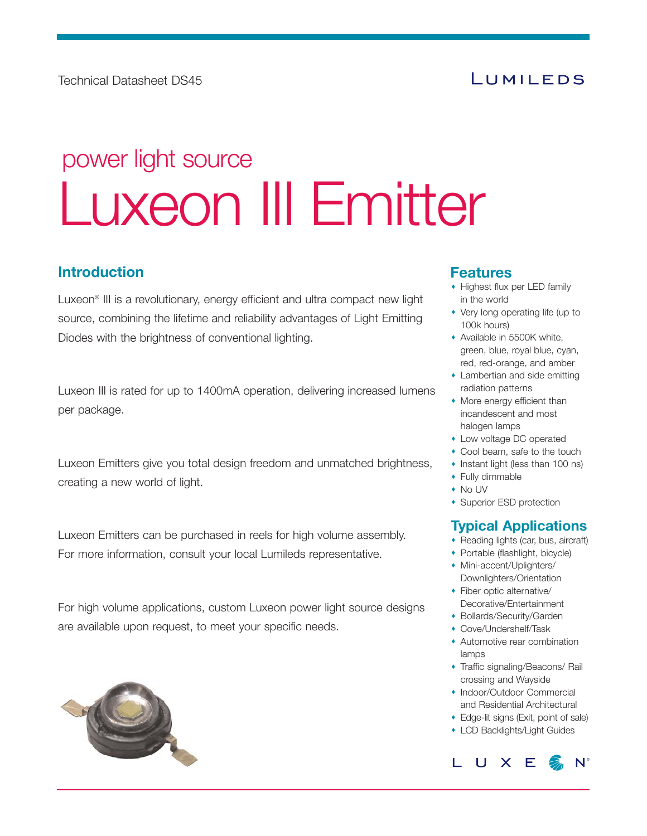# LUMILEDS

# Luxeon III Emitter power light source

#### **Introduction**

Luxeon® III is a revolutionary, energy efficient and ultra compact new light source, combining the lifetime and reliability advantages of Light Emitting Diodes with the brightness of conventional lighting.

Luxeon III is rated for up to 1400mA operation, delivering increased lumens per package.

Luxeon Emitters give you total design freedom and unmatched brightness, creating a new world of light.

Luxeon Emitters can be purchased in reels for high volume assembly. For more information, consult your local Lumileds representative.

For high volume applications, custom Luxeon power light source designs are available upon request, to meet your specific needs.



#### **Features**

- Highest flux per LED family in the world
- Very long operating life (up to 100k hours)
- Available in 5500K white, green, blue, royal blue, cyan, red, red-orange, and amber
- Lambertian and side emitting radiation patterns
- More energy efficient than incandescent and most halogen lamps
- Low voltage DC operated
- Cool beam, safe to the touch
- Instant light (less than 100 ns)
- Fully dimmable
- No UV
- Superior ESD protection

#### **Typical Applications**

- Reading lights (car, bus, aircraft)
- Portable (flashlight, bicycle)
- Mini-accent/Uplighters/ Downlighters/Orientation
- Fiber optic alternative/ Decorative/Entertainment
- Bollards/Security/Garden
- Cove/Undershelf/Task
- Automotive rear combination lamps
- Traffic signaling/Beacons/ Rail crossing and Wayside
- Indoor/Outdoor Commercial and Residential Architectural
- Edge-lit signs (Exit, point of sale)
- LCD Backlights/Light Guides

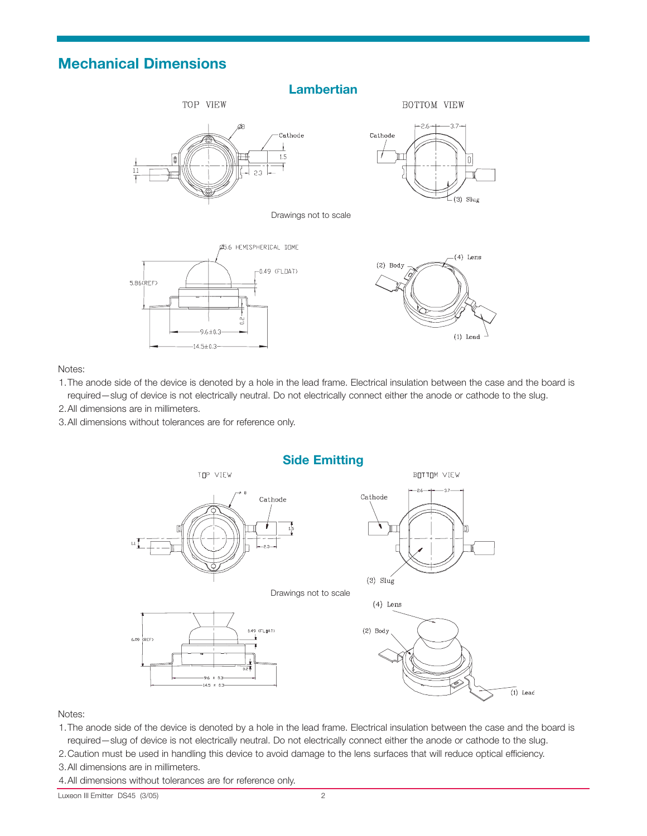#### **Mechanical Dimensions**



Notes:

- 1.The anode side of the device is denoted by a hole in the lead frame. Electrical insulation between the case and the board is required—slug of device is not electrically neutral. Do not electrically connect either the anode or cathode to the slug.
- 2.All dimensions are in millimeters.
- 3.All dimensions without tolerances are for reference only.



Notes:

- 1.The anode side of the device is denoted by a hole in the lead frame. Electrical insulation between the case and the board is required—slug of device is not electrically neutral. Do not electrically connect either the anode or cathode to the slug.
- 2.Caution must be used in handling this device to avoid damage to the lens surfaces that will reduce optical efficiency.
- 3.All dimensions are in millimeters.
- 4.All dimensions without tolerances are for reference only.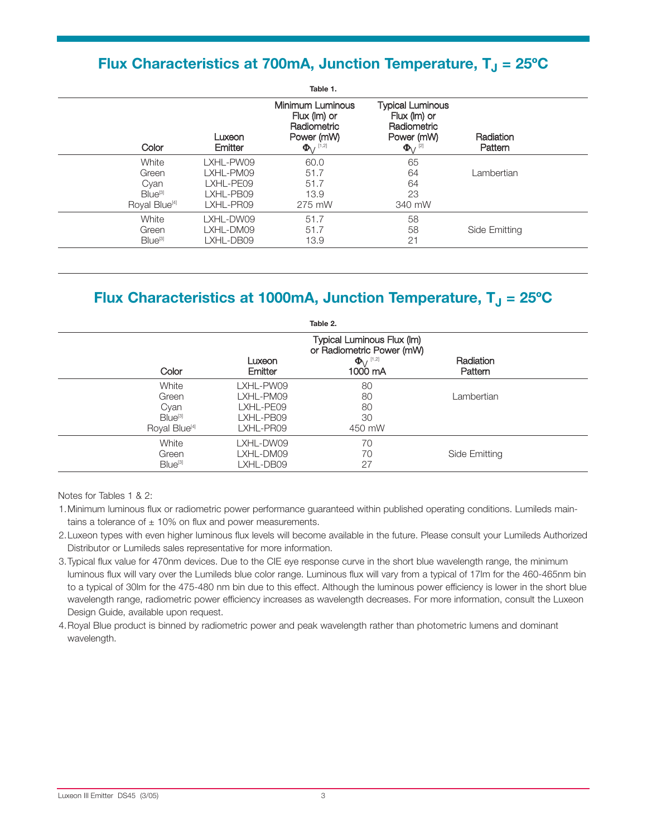## **Flux Characteristics at 700mA, Junction Temperature, T<sub>J</sub> = 25°C**

| Color                     | Luxeon<br>Emitter | Table 1.<br>Minimum Luminous<br>$Flux$ ( $Im$ ) or<br>Radiometric<br>Power (mW)<br>$\Phi$ <sub>/</sub> [1,2] | <b>Typical Luminous</b><br>$Flux$ ( $Im$ ) or<br>Radiometric<br>Power (mW)<br>$\Phi$ (2) | Radiation<br>Pattern |
|---------------------------|-------------------|--------------------------------------------------------------------------------------------------------------|------------------------------------------------------------------------------------------|----------------------|
| White                     | LXHL-PW09         | 60.0                                                                                                         | 65                                                                                       | Lambertian           |
| Green                     | LXHL-PM09         | 51.7                                                                                                         | 64                                                                                       |                      |
| Cyan                      | LXHL-PE09         | 51.7                                                                                                         | 64                                                                                       |                      |
| $Blue^{[3]}$              | LXHL-PB09         | 13.9                                                                                                         | 23                                                                                       |                      |
| Royal Blue <sup>[4]</sup> | LXHL-PR09         | 275 mW                                                                                                       | 340 mW                                                                                   |                      |
| White                     | LXHL-DW09         | 51.7                                                                                                         | 58                                                                                       | Side Emitting        |
| Green                     | LXHL-DM09         | 51.7                                                                                                         | 58                                                                                       |                      |
| Blue <sup>[3]</sup>       | LXHL-DB09         | 13.9                                                                                                         | 21                                                                                       |                      |

# **Flux Characteristics at 1000mA, Junction Temperature, T<sub>J</sub> = 25°C**

|                           |                   | Table 2.                                                |                      |  |
|---------------------------|-------------------|---------------------------------------------------------|----------------------|--|
|                           |                   | Typical Luminous Flux (Im)<br>or Radiometric Power (mW) |                      |  |
| Color                     | Luxeon<br>Emitter | $\Phi_{V}$ <sup>[1,2]</sup><br>1000 mA                  | Radiation<br>Pattern |  |
| White                     | LXHL-PW09         | 80                                                      |                      |  |
| Green                     | LXHL-PM09         | 80                                                      | Lambertian           |  |
| Cyan                      | LXHL-PE09         | 80                                                      |                      |  |
| Blue <sup>[3]</sup>       | LXHL-PB09         | 30                                                      |                      |  |
| Royal Blue <sup>[4]</sup> | LXHL-PR09         | 450 mW                                                  |                      |  |
| White                     | LXHL-DW09         | 70                                                      |                      |  |
| Green                     | LXHL-DM09         | 70                                                      | Side Emitting        |  |
| Blue <sup>[3]</sup>       | LXHL-DB09         | 27                                                      |                      |  |

Notes for Tables 1 & 2:

1.Minimum luminous flux or radiometric power performance guaranteed within published operating conditions. Lumileds main tains a tolerance of  $\pm$  10% on flux and power measurements.

- 2.Luxeon types with even higher luminous flux levels will become available in the future. Please consult your Lumileds Authorized Distributor or Lumileds sales representative for more information.
- 3.Typical flux value for 470nm devices. Due to the CIE eye response curve in the short blue wavelength range, the minimum luminous flux will vary over the Lumileds blue color range. Luminous flux will vary from a typical of 17lm for the 460-465nm bin to a typical of 30lm for the 475480 nm bin due to this effect. Although the luminous power efficiency is lower in the short blue wavelength range, radiometric power efficiency increases as wavelength decreases. For more information, consult the Luxeon Design Guide, available upon request.
- 4.Royal Blue product is binned by radiometric power and peak wavelength rather than photometric lumens and dominant wavelength.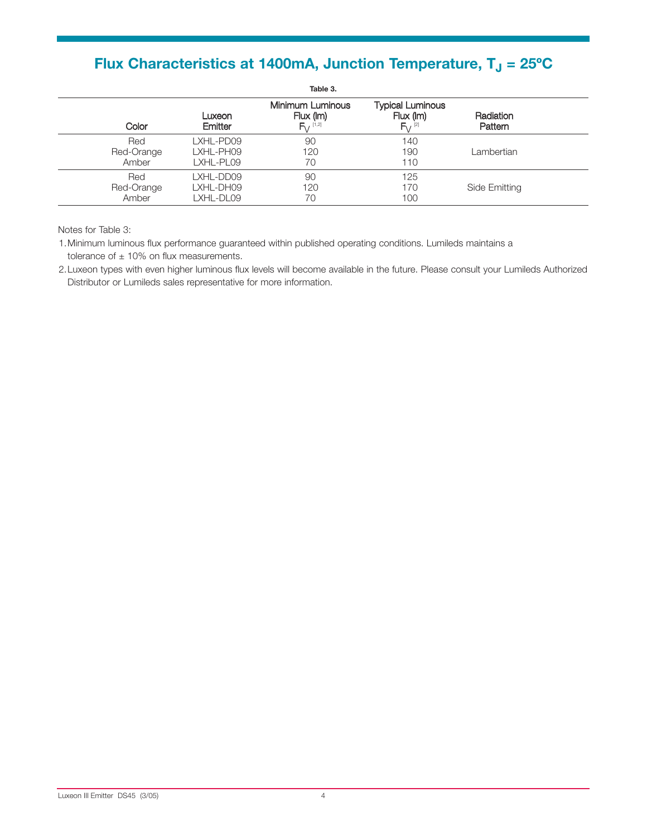# **Flux Characteristics at 1400mA, Junction Temperature, T<sub>J</sub> = 25°C**

|              |                   | Table 3.                                                  |                                                                  |                      |
|--------------|-------------------|-----------------------------------------------------------|------------------------------------------------------------------|----------------------|
| Color        | Luxeon<br>Emitter | Minimum Luminous<br>Flux (Im)<br>$F_{V}$ <sup>[1,2]</sup> | <b>Typical Luminous</b><br>$Flux$ (Im)<br>$F_{V}$ <sup>[2]</sup> | Radiation<br>Pattern |
| Red          | LXHL-PD09         | 90                                                        | 140                                                              | Lambertian           |
| Red-Orange   | LXHL-PH09         | 120                                                       | 190                                                              |                      |
| Amber        | LXHL-PL09         | 70                                                        | 110                                                              |                      |
| Red          | LXHL-DD09         | 90                                                        | 125                                                              | Side Emitting        |
| Red-Orange   | LXHL-DH09         | 120                                                       | 170                                                              |                      |
| <b>Amber</b> | LXHL-DL09         | 70                                                        | 100                                                              |                      |

Notes for Table 3:

1.Minimum luminous flux performance guaranteed within published operating conditions. Lumileds maintains a tolerance of  $\pm$  10% on flux measurements.

2.Luxeon types with even higher luminous flux levels will become available in the future. Please consult your Lumileds Authorized Distributor or Lumileds sales representative for more information.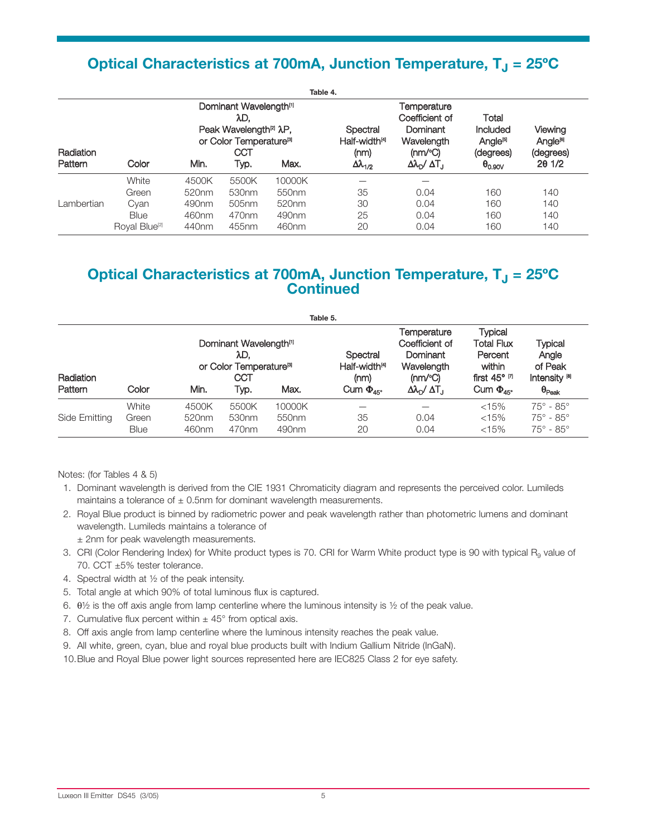# **Optical Characteristics at 700mA, Junction Temperature, T<sub>J</sub> = 25°C**

|            |                           |                   |                                                                                                                                               |                   | Table 4.                                      |                                                                            |                                                                         |                                              |
|------------|---------------------------|-------------------|-----------------------------------------------------------------------------------------------------------------------------------------------|-------------------|-----------------------------------------------|----------------------------------------------------------------------------|-------------------------------------------------------------------------|----------------------------------------------|
| Radiation  |                           |                   | Dominant Wavelength <sup>[1]</sup><br>λD.<br>Peak Wavelength <sup>[2]</sup> $\lambda$ P,<br>or Color Temperature <sup>[8]</sup><br><b>CCT</b> |                   | Spectral<br>Half-width <sup>[4]</sup><br>(mm) | Temperature<br>Coefficient of<br>Dominant<br>Wavelength<br>$(mm^{\circ}C)$ | Total<br><b>Included</b><br>Angle <sup>r<sub>s</sub></sup><br>(degrees) | Viewing<br>Angle <sup>rej</sup><br>(degrees) |
| Pattern    | Color                     | Min.              | Typ.                                                                                                                                          | Max.              | $\Delta\lambda_{1/2}$                         | $\Delta\lambda_{\rm D}$ / $\Delta$ T <sub>.I</sub>                         | $\Theta_{0.90V}$                                                        | 201/2                                        |
|            | White                     | 4500K             | 5500K                                                                                                                                         | 10000K            |                                               |                                                                            |                                                                         |                                              |
|            | Green                     | 520 <sub>nm</sub> | 530 <sub>nm</sub>                                                                                                                             | 550 <sub>nm</sub> | 35                                            | 0.04                                                                       | 160                                                                     | 140                                          |
| Lambertian | Cyan                      | 490nm             | 505 <sub>nm</sub>                                                                                                                             | 520nm             | 30                                            | 0.04                                                                       | 160                                                                     | 140                                          |
|            | <b>Blue</b>               | 460nm             | 470 <sub>nm</sub>                                                                                                                             | 490nm             | 25                                            | 0.04                                                                       | 160                                                                     | 140                                          |
|            | Royal Blue <sup>[2]</sup> | 440nm             | 455nm                                                                                                                                         | 460nm             | 20                                            | 0.04                                                                       | 160                                                                     | 140                                          |

#### **Optical Characteristics at 700mA, Junction Temperature, T<sub>J</sub> = 25°C Continued**

| Table 5.             |                               |                                     |                                                                                                 |                                      |                                                                         |                                                                                                                 |                                                                                                                    |                                                                                   |
|----------------------|-------------------------------|-------------------------------------|-------------------------------------------------------------------------------------------------|--------------------------------------|-------------------------------------------------------------------------|-----------------------------------------------------------------------------------------------------------------|--------------------------------------------------------------------------------------------------------------------|-----------------------------------------------------------------------------------|
| Radiation<br>Pattern | Color                         | Min.                                | Dominant Wavelength <sup>[1]</sup><br>λD.<br>or Color Temperature <sup>[8]</sup><br>CCT<br>Typ. | Max.                                 | Spectral<br>Half-width <sup>[4]</sup><br>(mm)<br>Cum $\Phi_{\text{4F}}$ | Temperature<br>Coefficient of<br>Dominant<br>Wavelength<br>$(mw^{\circ}C)$<br>Δλ <sub>D</sub> / ΔT <sub>1</sub> | <b>Typical</b><br>Total Flux<br>Percent<br>within<br>first $45^{\circ}$ $\alpha$<br>Cum $\Phi_{\text{45}^{\circ}}$ | Typical<br>Angle<br>of Peak<br>Intensity <sup>[8]</sup><br>$\Theta_{\text{Peak}}$ |
| Side Emitting        | White<br>Green<br><b>Blue</b> | 4500K<br>520 <sub>nm</sub><br>460nm | 5500K<br>530 <sub>nm</sub><br>470 <sub>nm</sub>                                                 | 10000K<br>550nm<br>490 <sub>nm</sub> | 35<br>20                                                                | 0.04<br>0.04                                                                                                    | < 15%<br>< 15%<br>< 15%                                                                                            | $75^\circ$ - $85^\circ$<br>$75^{\circ} - 85^{\circ}$<br>$75^{\circ} - 85^{\circ}$ |

Notes: (for Tables 4 & 5)

- 1. Dominant wavelength is derived from the CIE 1931 Chromaticity diagram and represents the perceived color. Lumileds maintains a tolerance of  $\pm$  0.5nm for dominant wavelength measurements.
- 2. Royal Blue product is binned by radiometric power and peak wavelength rather than photometric lumens and dominant wavelength. Lumileds maintains a tolerance of ± 2nm for peak wavelength measurements.
- 3. CRI (Color Rendering Index) for White product types is 70. CRI for Warm White product type is 90 with typical  $R<sub>9</sub>$  value of 70. CCT ±5% tester tolerance.
- 4. Spectral width at ½ of the peak intensity.
- 5. Total angle at which 90% of total luminous flux is captured.
- 6.  $\theta$ <sup>1</sup>/<sub>2</sub> is the off axis angle from lamp centerline where the luminous intensity is <sup>1</sup>/<sub>2</sub> of the peak value.
- 7. Cumulative flux percent within  $\pm 45^{\circ}$  from optical axis.
- 8. Off axis angle from lamp centerline where the luminous intensity reaches the peak value.
- 9. All white, green, cyan, blue and royal blue products built with Indium Gallium Nitride (InGaN).
- 10.Blue and Royal Blue power light sources represented here are IEC825 Class 2 for eye safety.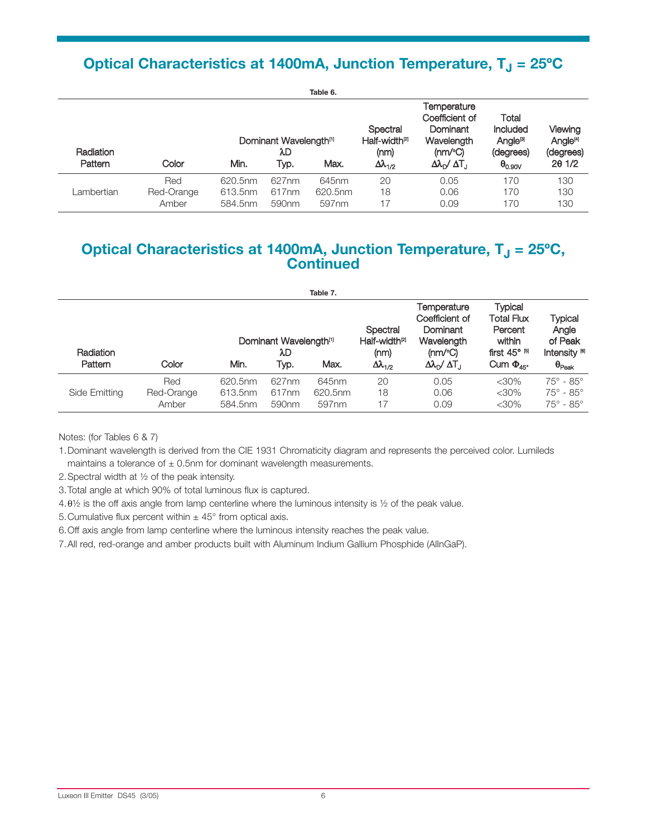# **Optical Characteristics at 1400mA, Junction Temperature, T<sub>J</sub> = 25°C**

|                      |                            |                               |                                                  | Table 6.                  |                                                                      |                                                                                                                            |                                                                                  |                                                       |
|----------------------|----------------------------|-------------------------------|--------------------------------------------------|---------------------------|----------------------------------------------------------------------|----------------------------------------------------------------------------------------------------------------------------|----------------------------------------------------------------------------------|-------------------------------------------------------|
| Radiation<br>Pattern | Color                      | Min.                          | Dominant Wavelength <sup>[1]</sup><br>λD<br>Typ. | Max.                      | Spectral<br>Half-width <sup>p</sup><br>(nm)<br>$\Delta\lambda_{1/2}$ | Temperature<br>Coefficient of<br>Dominant<br>Wavelength<br>$(mw^{\circ}C)$<br>$\Delta\lambda_{\rm D}$ / $\Delta T_{\rm J}$ | Total<br><b>Included</b><br>Angle <sup>ra</sup><br>(degrees)<br>$\theta_{0.90V}$ | Viewing<br>Angle <sup>[4]</sup><br>(degrees)<br>201/2 |
| Lambertian           | Red<br>Red-Orange<br>Amber | 620.5nm<br>613.5nm<br>584.5nm | 627nm<br>617 <sub>nm</sub><br>590 <sub>nm</sub>  | 645nm<br>620.5nm<br>597nm | 20<br>18<br>17                                                       | 0.05<br>0.06<br>0.09                                                                                                       | 170<br>170<br>170                                                                | 130<br>130<br>130                                     |

## **Optical Characteristics at 1400mA, Junction Temperature, T<sub>J</sub> = 25°C, Continued**

|                             |                            |                               |                                                  | Table 7.                  |                                                                        |                                                                                                                            |                                                                                                   |                                                                                   |
|-----------------------------|----------------------------|-------------------------------|--------------------------------------------------|---------------------------|------------------------------------------------------------------------|----------------------------------------------------------------------------------------------------------------------------|---------------------------------------------------------------------------------------------------|-----------------------------------------------------------------------------------|
| <b>Radiation</b><br>Pattern | Color                      | Min.                          | Dominant Wavelength <sup>[1]</sup><br>λD<br>Typ. | Max.                      | Spectral<br>Half-width <sup>[2]</sup><br>(mm)<br>$\Delta\lambda_{1/2}$ | Temperature<br>Coefficient of<br>Dominant<br>Wavelength<br>$(mm^{\circ}C)$<br>$\Delta\lambda_{\rm D}$ / $\Delta T_{\rm J}$ | Typical<br><b>Total Flux</b><br>Percent<br>within<br>first $45^{\circ}$ $^{6}$<br>Cum $\Phi_{45}$ | Typical<br>Angle<br>of Peak<br>Intensity <sup>[6]</sup><br>$\theta_{\text{Peak}}$ |
| Side Emitting               | Red<br>Red-Orange<br>Amber | 620.5nm<br>613.5nm<br>584.5nm | 627nm<br>617 <sub>nm</sub><br>590 <sub>nm</sub>  | 645nm<br>620.5nm<br>597nm | 20<br>18<br>17                                                         | 0.05<br>0.06<br>0.09                                                                                                       | $<$ 30%<br>$<$ 30%<br>$<$ 30%                                                                     | $75^\circ$ - $85^\circ$<br>$75^\circ$ - $85^\circ$<br>$75^\circ$ - $85^\circ$     |

Notes: (for Tables 6 & 7)

1.Dominant wavelength is derived from the CIE 1931 Chromaticity diagram and represents the perceived color. Lumileds maintains a tolerance of  $\pm$  0.5nm for dominant wavelength measurements.

2.Spectral width at ½ of the peak intensity.

3.Total angle at which 90% of total luminous flux is captured.

4.θ½ is the off axis angle from lamp centerline where the luminous intensity is ½ of the peak value.

5. Cumulative flux percent within  $\pm 45^{\circ}$  from optical axis.

6.Off axis angle from lamp centerline where the luminous intensity reaches the peak value.

7. All red, red-orange and amber products built with Aluminum Indium Gallium Phosphide (AlInGaP).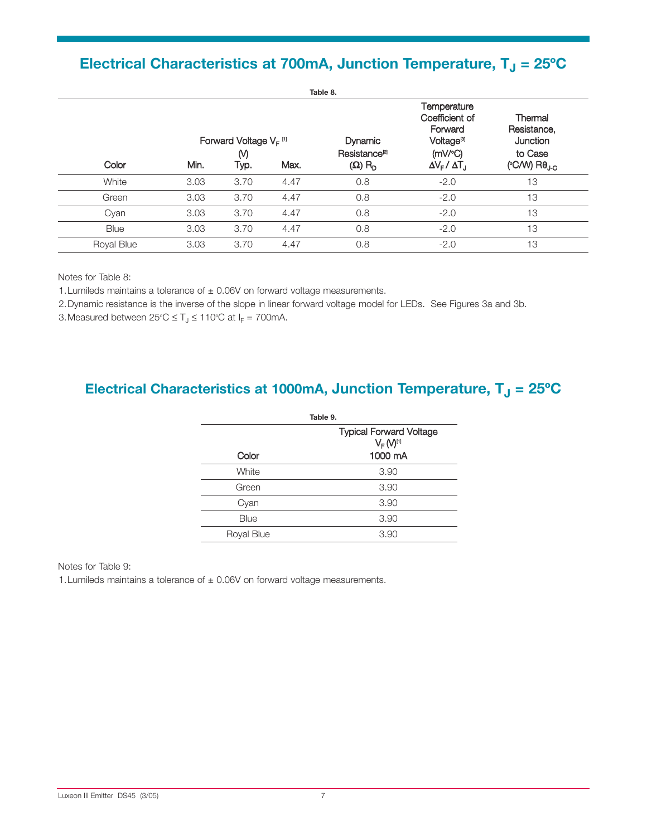# **Electrical Characteristics at 700mA, Junction Temperature, T<sub>J</sub> = 25°C**

|            | Table 8. |                                            |      |                                             |                                                                                    |                                               |
|------------|----------|--------------------------------------------|------|---------------------------------------------|------------------------------------------------------------------------------------|-----------------------------------------------|
|            |          | Forward Voltage $V_F$ <sup>[1]</sup><br>M) |      | <b>Dynamic</b><br>Resistance <sup>[2]</sup> | Temperature<br>Coefficient of<br>Forward<br><b>Voltage<sup>[9]</sup></b><br>(mV/C) | Thermal<br>Resistance,<br>Junction<br>to Case |
| Color      | Min.     | Typ.                                       | Max. | $(\Omega)$ R <sub>D</sub>                   | $\Delta V_F / \Delta T_J$                                                          | (°C/W) $R\theta_{\text{J-C}}$                 |
| White      | 3.03     | 3.70                                       | 4.47 | 0.8                                         | $-2.0$                                                                             | 13                                            |
| Green      | 3.03     | 3.70                                       | 4.47 | 0.8                                         | $-2.0$                                                                             | 13                                            |
| Cyan       | 3.03     | 3.70                                       | 4.47 | 0.8                                         | $-2.0$                                                                             | 13                                            |
| Blue       | 3.03     | 3.70                                       | 4.47 | 0.8                                         | $-2.0$                                                                             | 13                                            |
| Royal Blue | 3.03     | 3.70                                       | 4.47 | 0.8                                         | $-2.0$                                                                             | 13                                            |

Notes for Table 8:

1. Lumileds maintains a tolerance of  $\pm$  0.06V on forward voltage measurements.

2.Dynamic resistance is the inverse of the slope in linear forward voltage model for LEDs. See Figures 3a and 3b.

3. Measured between  $25^{\circ}\text{C} \leq \text{T}_\text{J} \leq 110^{\circ}\text{C}$  at  $I_{\text{F}} = 700$ mA.

# **Electrical Characteristics at 1000mA, Junction Temperature, T<sub>J</sub> = 25°C**

|            | Table 9.                                                           |
|------------|--------------------------------------------------------------------|
|            | <b>Typical Forward Voltage</b><br>V <sub>F</sub> (V <sup>III</sup> |
| Color      | 1000 mA                                                            |
| White      | 3.90                                                               |
| Green      | 3.90                                                               |
| Cyan       | 3.90                                                               |
| Blue       | 3.90                                                               |
| Royal Blue | 3.90                                                               |
|            |                                                                    |

#### Notes for Table 9:

1. Lumileds maintains a tolerance of  $\pm$  0.06V on forward voltage measurements.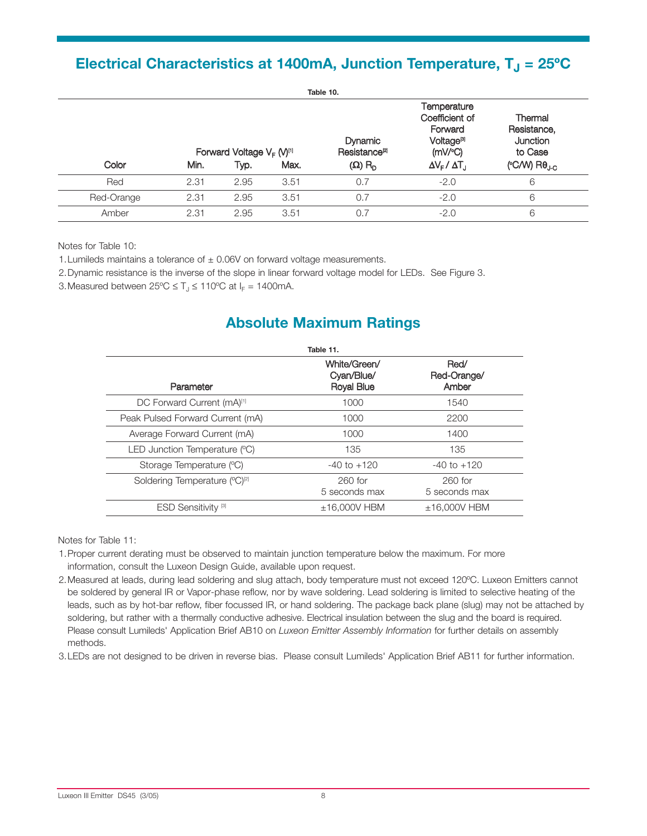## **Electrical Characteristics at 1400mA, Junction Temperature, T<sub>J</sub> = 25°C**

|            | Table 10.                                         |      |                                           |                                                                                             |                                                      |                                          |  |
|------------|---------------------------------------------------|------|-------------------------------------------|---------------------------------------------------------------------------------------------|------------------------------------------------------|------------------------------------------|--|
|            | Forward Voltage V <sub>F</sub> (V) <sup>[1]</sup> |      | <b>Dynamic</b><br>Resistance <sup>p</sup> | Temperature<br>Coefficient of<br>Forward<br>Voltage <sup>[3]</sup><br>$(mV$ <sup>o</sup> C) | Thermal<br>Resistance,<br><b>Junction</b><br>to Case |                                          |  |
| Color      | Min.                                              | Typ. | Max.                                      | $(\Omega)$ R <sub>D</sub>                                                                   | $\Delta V_{F} / \Delta T_{J}$                        | ( $\degree$ C/W) R $\theta_{\text{J-C}}$ |  |
| Red        | 2.31                                              | 2.95 | 3.51                                      | 0.7                                                                                         | $-2.0$                                               | 6                                        |  |
| Red-Orange | 2.31                                              | 2.95 | 3.51                                      | 0.7                                                                                         | $-2.0$                                               | 6                                        |  |
| Amber      | 2.31                                              | 2.95 | 3.51                                      | 0.7                                                                                         | $-2.0$                                               | 6                                        |  |

Notes for Table 10:

1. Lumileds maintains a tolerance of  $\pm$  0.06V on forward voltage measurements.

2.Dynamic resistance is the inverse of the slope in linear forward voltage model for LEDs. See Figure 3.

3. Measured between  $25^{\circ}C \leq T_J \leq 110^{\circ}C$  at  $I_F = 1400 \text{mA}$ .

# **Absolute Maximum Ratings**

| Table 11.                                 |                                                 |                              |  |  |  |  |  |
|-------------------------------------------|-------------------------------------------------|------------------------------|--|--|--|--|--|
| Parameter                                 | White/Green/<br>Cvan/Blue/<br><b>Royal Blue</b> | Red/<br>Red-Orange/<br>Amber |  |  |  |  |  |
| DC Forward Current (mA)[1]                | 1000                                            | 1540                         |  |  |  |  |  |
| Peak Pulsed Forward Current (mA)          | 1000                                            | 2200                         |  |  |  |  |  |
| Average Forward Current (mA)              | 1000                                            | 1400                         |  |  |  |  |  |
| LED Junction Temperature (°C)             | 135                                             | 135                          |  |  |  |  |  |
| Storage Temperature (°C)                  | $-40$ to $+120$                                 | $-40$ to $+120$              |  |  |  |  |  |
| Soldering Temperature (°C) <sup>[2]</sup> | $260$ for<br>5 seconds max                      | $260$ for<br>5 seconds max   |  |  |  |  |  |
| ESD Sensitivity <sup>[3]</sup>            | $±16,000V$ HBM                                  | $±16.000V$ HBM               |  |  |  |  |  |

Notes for Table 11:

- 1.Proper current derating must be observed to maintain junction temperature below the maximum. For more information, consult the Luxeon Design Guide, available upon request.
- 2.Measured at leads, during lead soldering and slug attach, body temperature must not exceed 120ºC. Luxeon Emitters cannot be soldered by general IR or Vapor-phase reflow, nor by wave soldering. Lead soldering is limited to selective heating of the leads, such as by hot-bar reflow, fiber focussed IR, or hand soldering. The package back plane (slug) may not be attached by soldering, but rather with a thermally conductive adhesive. Electrical insulation between the slug and the board is required. Please consult Lumileds' Application Brief AB10 on *Luxeon Emitter Assembly Information* for further details on assembly methods.
- 3.LEDs are not designed to be driven in reverse bias. Please consult Lumileds' Application Brief AB11 for further information.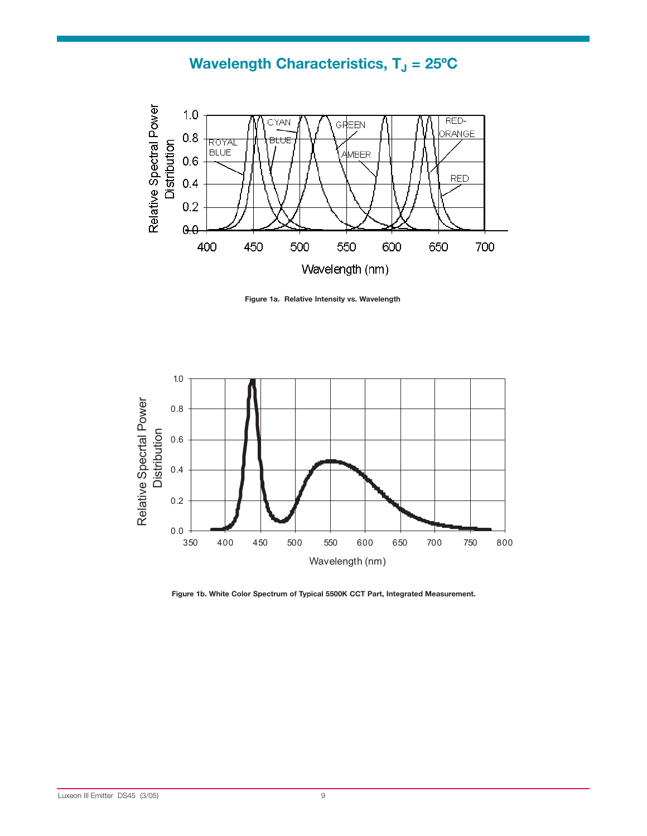# **Wavelength Characteristics, T<sub>J</sub> = 25°C**



**Figure 1a. Relative Intensity vs. Wavelength**



**Figure 1b. White Color Spectrum of Typical 5500K CCT Part, Integrated Measurement.**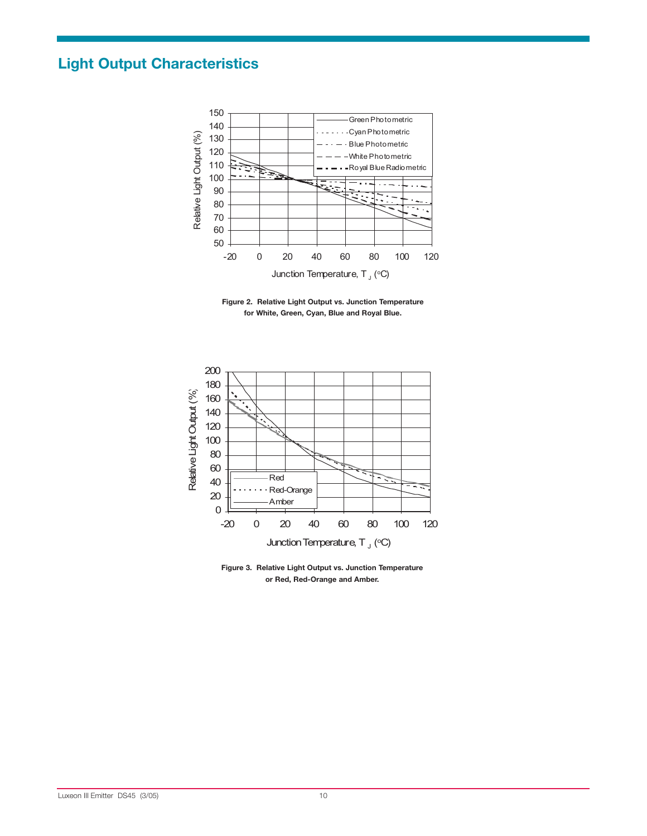# **Light Output Characteristics**



**Figure 2. Relative Light Output vs. Junction Temperature for White, Green, Cyan, Blue and Royal Blue.**



**Figure 3. Relative Light Output vs. Junction Temperature**  or Red, Red-Orange and Amber.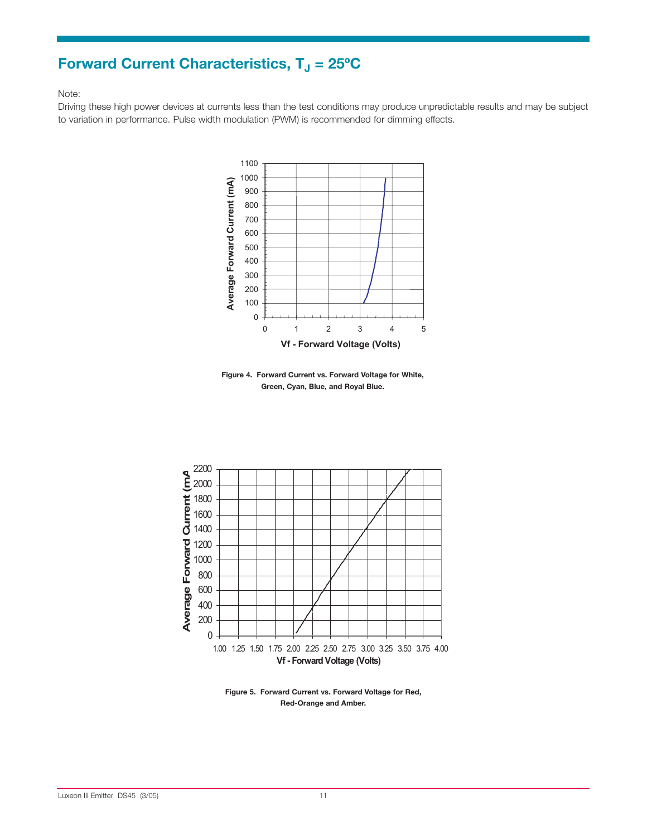# **Forward Current Characteristics, T<sub>J</sub> = 25°C**

#### Note:

Driving these high power devices at currents less than the test conditions may produce unpredictable results and may be subject to variation in performance. Pulse width modulation (PWM) is recommended for dimming effects.



**Figure 4. Forward Current vs. Forward Voltage for White, Green, Cyan, Blue, and Royal Blue.**



**Figure 5. Forward Current vs. Forward Voltage for Red, Red-Orange and Amber.**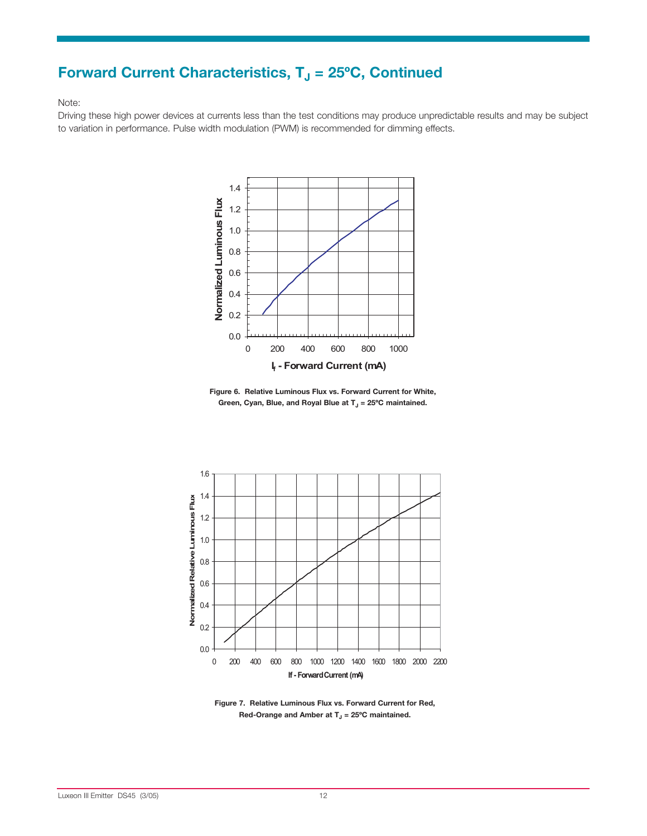# **Forward Current Characteristics, T<sub>J</sub> = 25°C, Continued**

#### Note:

Driving these high power devices at currents less than the test conditions may produce unpredictable results and may be subject to variation in performance. Pulse width modulation (PWM) is recommended for dimming effects.



**Figure 6. Relative Luminous Flux vs. Forward Current for White,**  Green, Cyan, Blue, and Royal Blue at T<sub>J</sub> = 25°C maintained.



**Figure 7. Relative Luminous Flux vs. Forward Current for Red,**  Red-Orange and Amber at T<sub>J</sub> = 25°C maintained.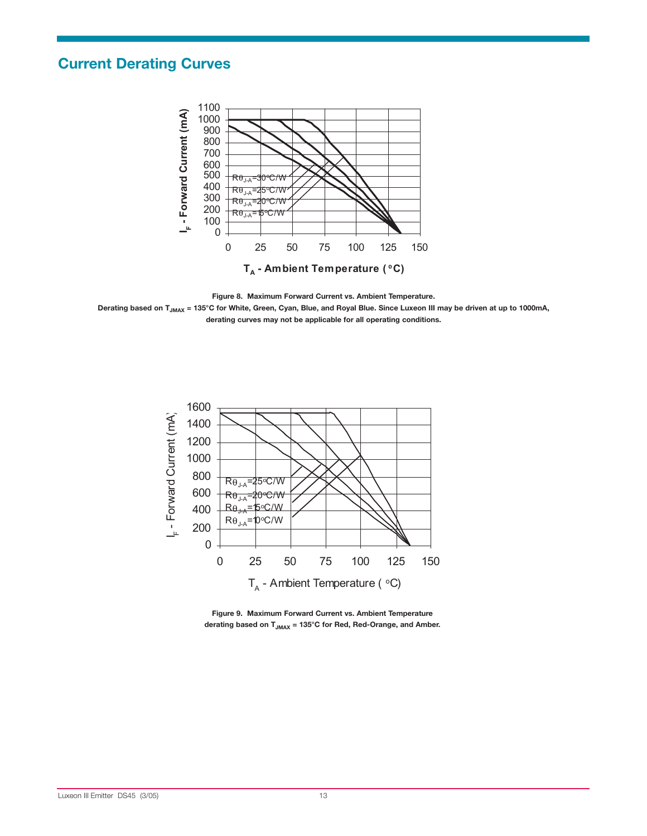## **Current Derating Curves**



**Figure 8. Maximum Forward Current vs. Ambient Temperature.** 

Derating based on T<sub>JMAX</sub> = 135°C for White, Green, Cyan, Blue, and Royal Blue. Since Luxeon III may be driven at up to 1000mA, **derating curves may not be applicable for all operating conditions.**



**Figure 9. Maximum Forward Current vs. Ambient Temperature**  derating based on T<sub>JMAX</sub> = 135°C for Red, Red-Orange, and Amber.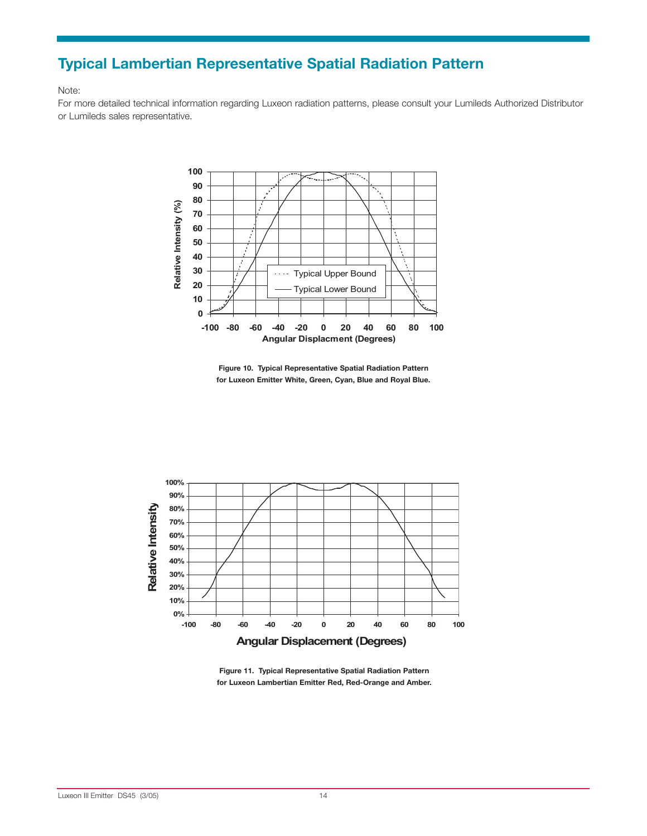## **Typical Lambertian Representative Spatial Radiation Pattern**

#### Note:

For more detailed technical information regarding Luxeon radiation patterns, please consult your Lumileds Authorized Distributor or Lumileds sales representative.



**Figure 10. Typical Representative Spatial Radiation Pattern for Luxeon Emitter White, Green, Cyan, Blue and Royal Blue.**



**Figure 11. Typical Representative Spatial Radiation Pattern**  for Luxeon Lambertian Emitter Red, Red-Orange and Amber.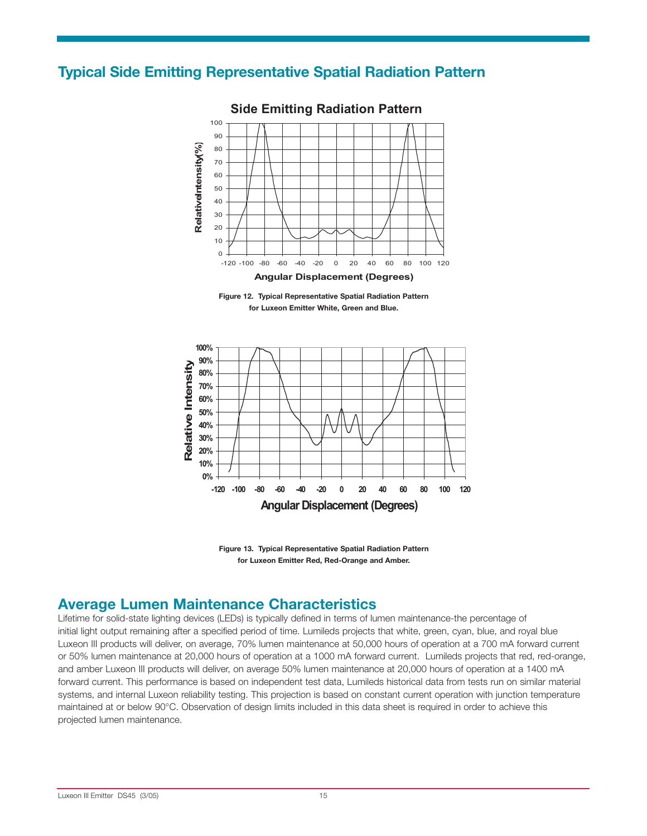#### **Typical Side Emitting Representative Spatial Radiation Pattern**



#### **Side Emitting Radiation Pattern**





**Figure 13. Typical Representative Spatial Radiation Pattern**  for Luxeon Emitter Red, Red-Orange and Amber.

#### **Average Lumen Maintenance Characteristics**

Lifetime for solid-state lighting devices (LEDs) is typically defined in terms of lumen maintenance-the percentage of initial light output remaining after a specified period of time. Lumileds projects that white, green, cyan, blue, and royal blue Luxeon III products will deliver, on average, 70% lumen maintenance at 50,000 hours of operation at a 700 mA forward current or 50% lumen maintenance at 20,000 hours of operation at a 1000 mA forward current. Lumileds projects that red, red-orange, and amber Luxeon III products will deliver, on average 50% lumen maintenance at 20,000 hours of operation at a 1400 mA forward current. This performance is based on independent test data, Lumileds historical data from tests run on similar material systems, and internal Luxeon reliability testing. This projection is based on constant current operation with junction temperature maintained at or below 90°C. Observation of design limits included in this data sheet is required in order to achieve this projected lumen maintenance.